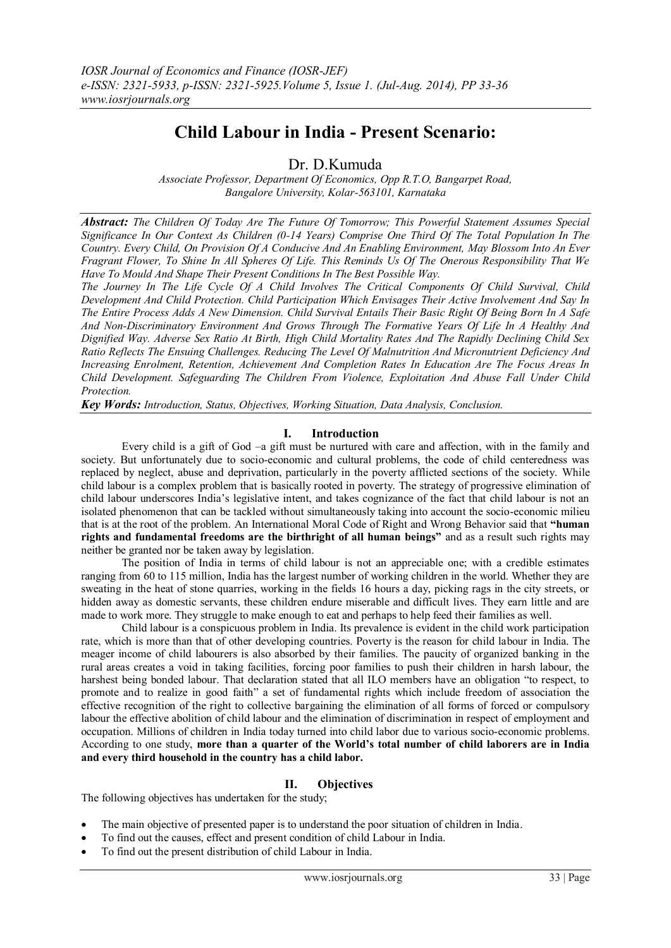# **Child Labour in India - Present Scenario:**

Dr. D.Kumuda

*Associate Professor, Department Of Economics, Opp R.T.O, Bangarpet Road, Bangalore University, Kolar-563101, Karnataka*

*Abstract: The Children Of Today Are The Future Of Tomorrow; This Powerful Statement Assumes Special Significance In Our Context As Children (0-14 Years) Comprise One Third Of The Total Population In The Country. Every Child, On Provision Of A Conducive And An Enabling Environment, May Blossom Into An Ever Fragrant Flower, To Shine In All Spheres Of Life. This Reminds Us Of The Onerous Responsibility That We Have To Mould And Shape Their Present Conditions In The Best Possible Way.*

*The Journey In The Life Cycle Of A Child Involves The Critical Components Of Child Survival, Child Development And Child Protection. Child Participation Which Envisages Their Active Involvement And Say In The Entire Process Adds A New Dimension. Child Survival Entails Their Basic Right Of Being Born In A Safe And Non-Discriminatory Environment And Grows Through The Formative Years Of Life In A Healthy And Dignified Way. Adverse Sex Ratio At Birth, High Child Mortality Rates And The Rapidly Declining Child Sex Ratio Reflects The Ensuing Challenges. Reducing The Level Of Malnutrition And Micronutrient Deficiency And Increasing Enrolment, Retention, Achievement And Completion Rates In Education Are The Focus Areas In Child Development. Safeguarding The Children From Violence, Exploitation And Abuse Fall Under Child Protection.*

*Key Words: Introduction, Status, Objectives, Working Situation, Data Analysis, Conclusion.* 

### **I. Introduction**

Every child is a gift of God –a gift must be nurtured with care and affection, with in the family and society. But unfortunately due to socio-economic and cultural problems, the code of child centeredness was replaced by neglect, abuse and deprivation, particularly in the poverty afflicted sections of the society. While child labour is a complex problem that is basically rooted in poverty. The strategy of progressive elimination of child labour underscores India's legislative intent, and takes cognizance of the fact that child labour is not an isolated phenomenon that can be tackled without simultaneously taking into account the socio-economic milieu that is at the root of the problem. An International Moral Code of Right and Wrong Behavior said that **"human rights and fundamental freedoms are the birthright of all human beings"** and as a result such rights may neither be granted nor be taken away by legislation.

The position of India in terms of child labour is not an appreciable one; with a credible estimates ranging from 60 to 115 million, India has the largest number of working children in the world. Whether they are sweating in the heat of stone quarries, working in the fields 16 hours a day, picking rags in the city streets, or hidden away as domestic servants, these children endure miserable and difficult lives. They earn little and are made to work more. They struggle to make enough to eat and perhaps to help feed their families as well.

Child labour is a conspicuous problem in India. Its prevalence is evident in the child work participation rate, which is more than that of other developing countries. Poverty is the reason for child labour in India. The meager income of child labourers is also absorbed by their families. The paucity of organized banking in the rural areas creates a void in taking facilities, forcing poor families to push their children in harsh labour, the harshest being bonded labour. That declaration stated that all ILO members have an obligation "to respect, to promote and to realize in good faith" a set of fundamental rights which include freedom of association the effective recognition of the right to collective bargaining the elimination of all forms of forced or compulsory labour the effective abolition of child labour and the elimination of discrimination in respect of employment and occupation. Millions of children in India today turned into child labor due to various socio-economic problems. According to one study, **more than a quarter of the World's total number of child laborers are in India and every third household in the country has a child labor.** 

## **II. Objectives**

The following objectives has undertaken for the study;

- The main objective of presented paper is to understand the poor situation of children in India.
- To find out the causes, effect and present condition of child Labour in India.
- To find out the present distribution of child Labour in India.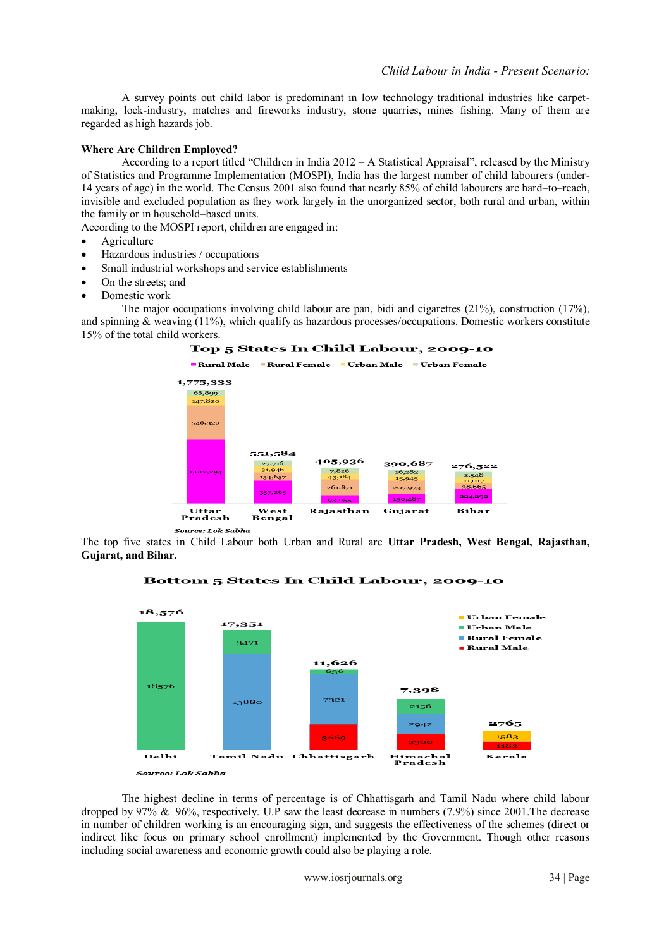A survey points out child labor is predominant in low technology traditional industries like carpetmaking, lock-industry, matches and fireworks industry, stone quarries, mines fishing. Many of them are regarded as high hazards job.

### **Where Are Children Employed?**

According to a [report](http://mospi.nic.in/mospi_new/upload/Children_in_India_2012.pdf) titled "Children in India 2012 – A Statistical Appraisal", released by the Ministry of Statistics and Programme Implementation (MOSPI), India has the largest number of child labourers (under-14 years of age) in the world. The Census 2001 also found that nearly 85% of child labourers are hard–to–reach, invisible and excluded population as they work largely in the unorganized sector, both rural and urban, within the family or in household–based units.

According to th[e MOSPI report,](http://mospi.nic.in/mospi_new/upload/Children_in_India_2012.pdf) children are engaged in:

- Agriculture
- Hazardous industries / occupations
- Small industrial workshops and service establishments
- On the streets; and
- Domestic work

The major occupations involving child labour are pan, bidi and cigarettes (21%), construction (17%), and spinning & weaving (11%), which qualify as hazardous processes/occupations. Domestic workers constitute 15% of the total child workers.



Source: Lok Sabha

The top five states in Child Labour both Urban and Rural are **Uttar Pradesh, West Bengal, Rajasthan, Gujarat, and Bihar.**



Bottom 5 States In Child Labour, 2009-10

The highest decline in terms of percentage is of Chhattisgarh and Tamil Nadu where child labour dropped by 97% & 96%, respectively. U.P saw the least decrease in numbers (7.9%) since 2001.The decrease in number of children working is an encouraging sign, and suggests the effectiveness of the schemes (direct or indirect like focus on primary school enrollment) implemented by the Government. Though other reasons including social awareness and economic growth could also be playing a role.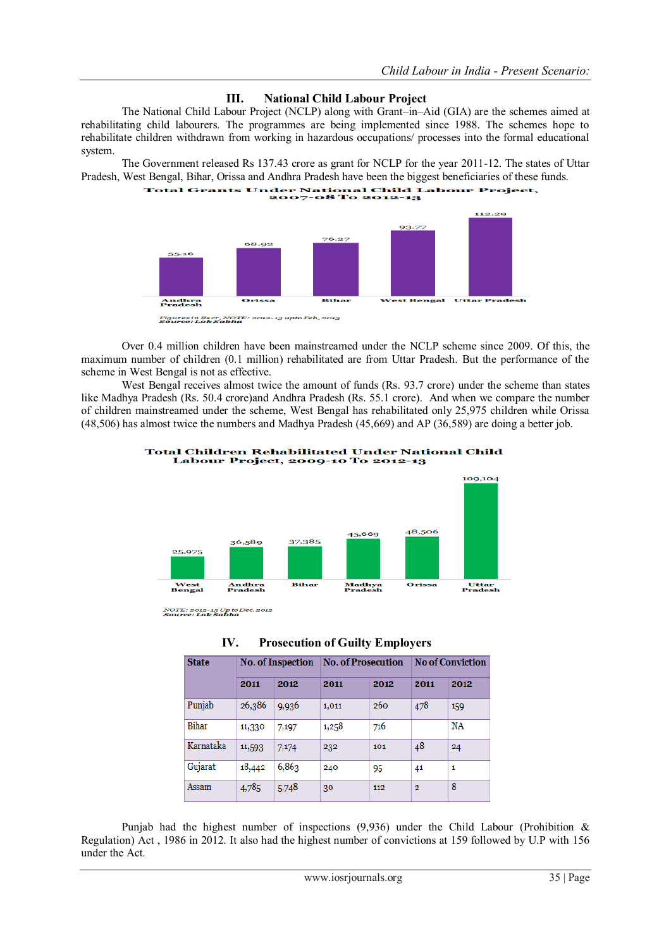## **III. National Child Labour Project**

The National Child Labour Project (NCLP) along with Grant–in–Aid (GIA) are the schemes aimed at rehabilitating child labourers. The programmes are being implemented since 1988. The schemes hope to rehabilitate children withdrawn from working in hazardous occupations/ processes into the formal educational system.

The Government released Rs 137.43 crore as grant for NCLP for the year 2011-12. The states of Uttar Pradesh, West Bengal, Bihar, Orissa and Andhra Pradesh have been the biggest beneficiaries of these funds.



Over 0.4 million children have been mainstreamed under the NCLP scheme since 2009. Of this, the maximum number of children (0.1 million) rehabilitated are from Uttar Pradesh. But the performance of the

scheme in West Bengal is not as effective. West Bengal receives almost twice the amount of funds (Rs. 93.7 crore) under the scheme than states like Madhya Pradesh (Rs. 50.4 crore)and Andhra Pradesh (Rs. 55.1 crore). And when we compare the number of children mainstreamed under the scheme, West Bengal has rehabilitated only 25,975 children while Orissa (48,506) has almost twice the numbers and Madhya Pradesh (45,669) and AP (36,589) are doing a better job.



**Total Children Rehabilitated Under National Child** Labour Project, 2009-10 To 2012-13

NOTE: 2012-13 Up to Dec. 2012<br>**Source: Lok Sabha** 

| IV. | <b>Prosecution of Guilty Employers</b> |  |  |
|-----|----------------------------------------|--|--|
|-----|----------------------------------------|--|--|

| <b>State</b> | <b>No. of Inspection</b> |       | <b>No. of Prosecution</b> |      | <b>No of Conviction</b> |           |
|--------------|--------------------------|-------|---------------------------|------|-------------------------|-----------|
|              | 2011                     | 2012  | 2011                      | 2012 | 2011                    | 2012      |
| Punjab       | 26,386                   | 9,936 | 1,011                     | 260  | 478                     | 159       |
| Bihar        | 11,330                   | 7,197 | 1,258                     | 716  |                         | <b>NA</b> |
| Karnataka    | 11,593                   | 7,174 | 232                       | 101  | 48                      | 24        |
| Gujarat      | 18,442                   | 6,863 | 240                       | 95   | 41                      | 1         |
| Assam        | 4,785                    | 5,748 | 30                        | 112  | $\overline{2}$          | 8         |

Punjab had the highest number of inspections (9,936) under the Child Labour (Prohibition & Regulation) Act , 1986 in 2012. It also had the highest number of convictions at 159 followed by U.P with 156 under the Act.